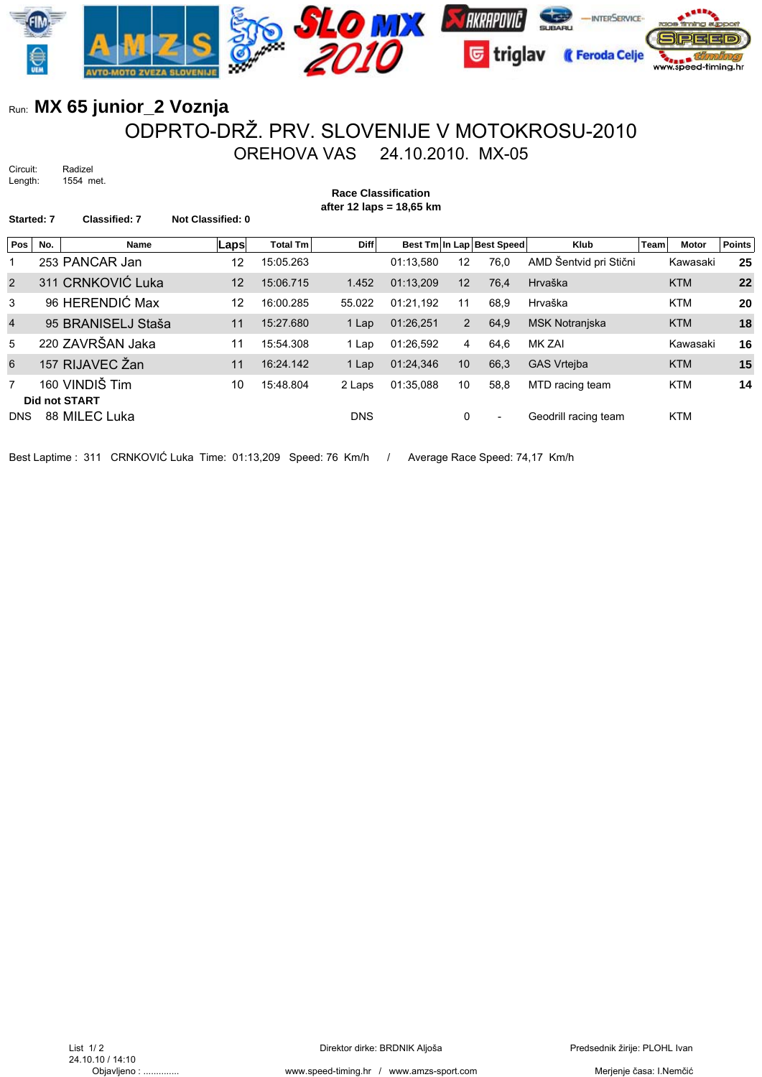

## Run: **MX 65 junior\_2 Voznja** ODPRTO-DRŽ. PRV. SLOVENIJE V MOTOKROSU-2010 OREHOVA VAS 24.10.2010. MX-05

Circuit: Radizel Length: 1554 met.

**Race Classification after 12 laps = 18,65 km** Started: 7 Classified: 7 Not Classified: 0 **Pos No. Name Caps** Total Tm Diff Best Tm In Lap Best Speed Klub Team Motor Points 1 253 PANCAR Jan 12 15:05.263 01:13,580 12 76,0 AMD Šentvid pri Stični Kawasaki **25** 2 311 CRNKOVIĆ Luka 12 15:06.715 1.452 01:13,209 12 76,4 Hrvaška KTM **22** 3 96 HERENDIĆ Max 12 16:00.285 55.022 01:21,192 11 68,9 Hrvaška KTM **20** 4 95 BRANISELJ Staša 11 15:27.680 1 Lap 01:26,251 2 64,9 MSK Notranjska KTM **18** 5 220 ZAVRŠAN Jaka 11 15:54.308 1 Lap 01:26,592 4 64,6 MK ZAI Kawasaki **16** 6 157 RIJAVEC Žan 11 16:24.142 1 Lap 01:24,346 10 66,3 GAS Vrtejba KTM **15** 7 160 VINDIŠ Tim 10 15:48.804 2 Laps 01:35,088 10 58,8 MTD racing team KTM **14 Did not START**

DNS 88 MILEC Luka DNS 0 - Geodrill racing team KTM

Best Laptime : 311 CRNKOVIĆ Luka Time: 01:13,209 Speed: 76 Km/h / Average Race Speed: 74,17 Km/h